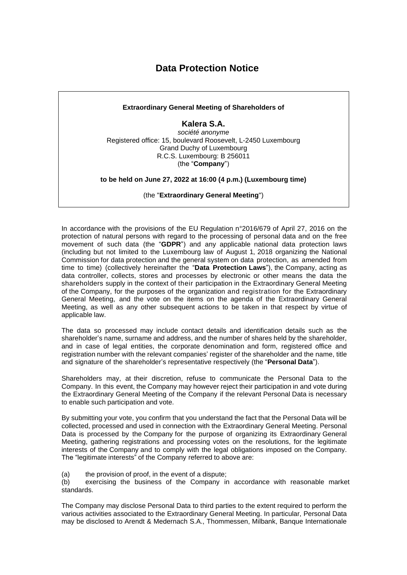## **Data Protection Notice**



In accordance with the provisions of the EU Regulation n°2016/679 of April 27, 2016 on the protection of natural persons with regard to the processing of personal data and on the free movement of such data (the "**GDPR**") and any applicable national data protection laws (including but not limited to the Luxembourg law of August 1, 2018 organizing the National Commission for data protection and the general system on data protection, as amended from time to time) (collectively hereinafter the "**Data Protection Laws**"), the Company, acting as data controller, collects, stores and processes by electronic or other means the data the shareholders supply in the context of their participation in the Extraordinary General Meeting of the Company, for the purposes of the organization and registration for the Extraordinary General Meeting, and the vote on the items on the agenda of the Extraordinary General Meeting, as well as any other subsequent actions to be taken in that respect by virtue of applicable law.

The data so processed may include contact details and identification details such as the shareholder's name, surname and address, and the number of shares held by the shareholder, and in case of legal entities, the corporate denomination and form, registered office and registration number with the relevant companies' register of the shareholder and the name, title and signature of the shareholder's representative respectively (the "**Personal Data**").

Shareholders may, at their discretion, refuse to communicate the Personal Data to the Company. In this event, the Company may however reject their participation in and vote during the Extraordinary General Meeting of the Company if the relevant Personal Data is necessary to enable such participation and vote.

By submitting your vote, you confirm that you understand the fact that the Personal Data will be collected, processed and used in connection with the Extraordinary General Meeting. Personal Data is processed by the Company for the purpose of organizing its Extraordinary General Meeting, gathering registrations and processing votes on the resolutions, for the legitimate interests of the Company and to comply with the legal obligations imposed on the Company. The "legitimate interests" of the Company referred to above are:

(a) the provision of proof, in the event of a dispute;

(b) exercising the business of the Company in accordance with reasonable market standards.

The Company may disclose Personal Data to third parties to the extent required to perform the various activities associated to the Extraordinary General Meeting. In particular, Personal Data may be disclosed to Arendt & Medernach S.A., Thommessen, Milbank, Banque Internationale